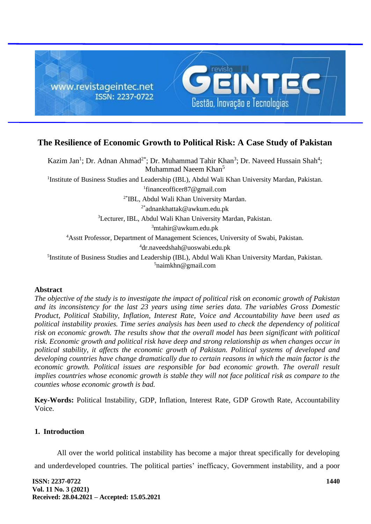

# **The Resilience of Economic Growth to Political Risk: A Case Study of Pakistan**

Kazim Jan<sup>1</sup>; Dr. Adnan Ahmad<sup>2\*</sup>; Dr. Muhammad Tahir Khan<sup>3</sup>; Dr. Naveed Hussain Shah<sup>4</sup>; Muhammad Naeem Khan<sup>5</sup> <sup>1</sup>Institute of Business Studies and Leadership (IBL), Abdul Wali Khan University Mardan, Pakistan. 1 financeofficer87@gmail.com 2\* IBL, Abdul Wali Khan University Mardan. 2\*adnankhattak@awkum.edu.pk <sup>3</sup>Lecturer, IBL, Abdul Wali Khan University Mardan, Pakistan.  $3$ mtahir@awkum.edu.pk <sup>4</sup>Asstt Professor, Department of Management Sciences, University of Swabi, Pakistan. <sup>4</sup>dr.naveedshah@uoswabi.edu.pk <sup>5</sup>Institute of Business Studies and Leadership (IBL), Abdul Wali Khan University Mardan, Pakistan.

 $5$ naimkhn@gmail.com

#### **Abstract**

*The objective of the study is to investigate the impact of political risk on economic growth of Pakistan and its inconsistency for the last 23 years using time series data. The variables Gross Domestic Product, Political Stability, Inflation, Interest Rate, Voice and Accountability have been used as political instability proxies. Time series analysis has been used to check the dependency of political risk on economic growth. The results show that the overall model has been significant with political risk. Economic growth and political risk have deep and strong relationship as when changes occur in political stability, it affects the economic growth of Pakistan. Political systems of developed and developing countries have change dramatically due to certain reasons in which the main factor is the*  economic growth. Political issues are responsible for bad economic growth. The overall result *implies countries whose economic growth is stable they will not face political risk as compare to the counties whose economic growth is bad.*

**Key-Words:** Political Instability, GDP, Inflation, Interest Rate, GDP Growth Rate, Accountability Voice.

#### **1. Introduction**

All over the world political instability has become a major threat specifically for developing and underdeveloped countries. The political parties' inefficacy, Government instability, and a poor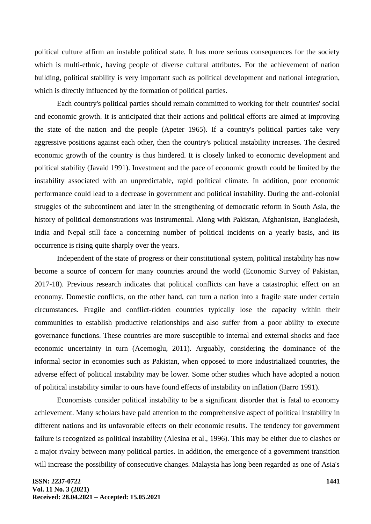political culture affirm an instable political state. It has more serious consequences for the society which is multi-ethnic, having people of diverse cultural attributes. For the achievement of nation building, political stability is very important such as political development and national integration, which is directly influenced by the formation of political parties.

Each country's political parties should remain committed to working for their countries' social and economic growth. It is anticipated that their actions and political efforts are aimed at improving the state of the nation and the people (Apeter 1965). If a country's political parties take very aggressive positions against each other, then the country's political instability increases. The desired economic growth of the country is thus hindered. It is closely linked to economic development and political stability (Javaid 1991). Investment and the pace of economic growth could be limited by the instability associated with an unpredictable, rapid political climate. In addition, poor economic performance could lead to a decrease in government and political instability. During the anti-colonial struggles of the subcontinent and later in the strengthening of democratic reform in South Asia, the history of political demonstrations was instrumental. Along with Pakistan, Afghanistan, Bangladesh, India and Nepal still face a concerning number of political incidents on a yearly basis, and its occurrence is rising quite sharply over the years.

Independent of the state of progress or their constitutional system, political instability has now become a source of concern for many countries around the world (Economic Survey of Pakistan, 2017-18). Previous research indicates that political conflicts can have a catastrophic effect on an economy. Domestic conflicts, on the other hand, can turn a nation into a fragile state under certain circumstances. Fragile and conflict-ridden countries typically lose the capacity within their communities to establish productive relationships and also suffer from a poor ability to execute governance functions. These countries are more susceptible to internal and external shocks and face economic uncertainty in turn (Acemoglu, 2011). Arguably, considering the dominance of the informal sector in economies such as Pakistan, when opposed to more industrialized countries, the adverse effect of political instability may be lower. Some other studies which have adopted a notion of political instability similar to ours have found effects of instability on inflation (Barro 1991).

Economists consider political instability to be a significant disorder that is fatal to economy achievement. Many scholars have paid attention to the comprehensive aspect of political instability in different nations and its unfavorable effects on their economic results. The tendency for government failure is recognized as political instability (Alesina et al., 1996). This may be either due to clashes or a major rivalry between many political parties. In addition, the emergence of a government transition will increase the possibility of consecutive changes. Malaysia has long been regarded as one of Asia's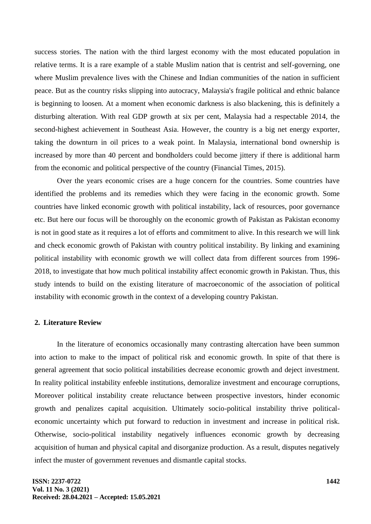success stories. The nation with the third largest economy with the most educated population in relative terms. It is a rare example of a stable Muslim nation that is centrist and self-governing, one where Muslim prevalence lives with the Chinese and Indian communities of the nation in sufficient peace. But as the country risks slipping into autocracy, Malaysia's fragile political and ethnic balance is beginning to loosen. At a moment when economic darkness is also blackening, this is definitely a disturbing alteration. With real GDP growth at six per cent, Malaysia had a respectable 2014, the second-highest achievement in Southeast Asia. However, the country is a big net energy exporter, taking the downturn in oil prices to a weak point. In Malaysia, international bond ownership is increased by more than 40 percent and bondholders could become jittery if there is additional harm from the economic and political perspective of the country (Financial Times, 2015).

Over the years economic crises are a huge concern for the countries. Some countries have identified the problems and its remedies which they were facing in the economic growth. Some countries have linked economic growth with political instability, lack of resources, poor governance etc. But here our focus will be thoroughly on the economic growth of Pakistan as Pakistan economy is not in good state as it requires a lot of efforts and commitment to alive. In this research we will link and check economic growth of Pakistan with country political instability. By linking and examining political instability with economic growth we will collect data from different sources from 1996- 2018, to investigate that how much political instability affect economic growth in Pakistan. Thus, this study intends to build on the existing literature of macroeconomic of the association of political instability with economic growth in the context of a developing country Pakistan.

#### **2. Literature Review**

In the literature of economics occasionally many contrasting altercation have been summon into action to make to the impact of political risk and economic growth. In spite of that there is general agreement that socio political instabilities decrease economic growth and deject investment. In reality political instability enfeeble institutions, demoralize investment and encourage corruptions, Moreover political instability create reluctance between prospective investors, hinder economic growth and penalizes capital acquisition. Ultimately socio-political instability thrive politicaleconomic uncertainty which put forward to reduction in investment and increase in political risk. Otherwise, socio-political instability negatively influences economic growth by decreasing acquisition of human and physical capital and disorganize production. As a result, disputes negatively infect the muster of government revenues and dismantle capital stocks.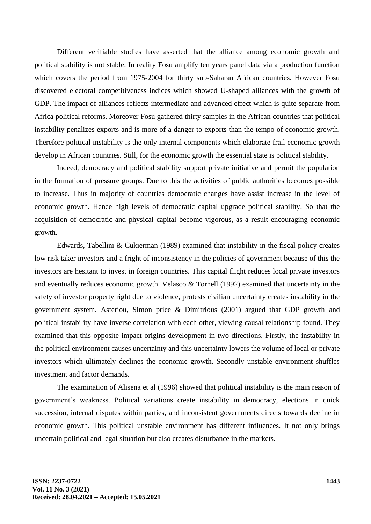Different verifiable studies have asserted that the alliance among economic growth and political stability is not stable. In reality Fosu amplify ten years panel data via a production function which covers the period from 1975-2004 for thirty sub-Saharan African countries. However Fosu discovered electoral competitiveness indices which showed U-shaped alliances with the growth of GDP. The impact of alliances reflects intermediate and advanced effect which is quite separate from Africa political reforms. Moreover Fosu gathered thirty samples in the African countries that political instability penalizes exports and is more of a danger to exports than the tempo of economic growth. Therefore political instability is the only internal components which elaborate frail economic growth develop in African countries. Still, for the economic growth the essential state is political stability.

Indeed, democracy and political stability support private initiative and permit the population in the formation of pressure groups. Due to this the activities of public authorities becomes possible to increase. Thus in majority of countries democratic changes have assist increase in the level of economic growth. Hence high levels of democratic capital upgrade political stability. So that the acquisition of democratic and physical capital become vigorous, as a result encouraging economic growth.

Edwards, Tabellini & Cukierman (1989) examined that instability in the fiscal policy creates low risk taker investors and a fright of inconsistency in the policies of government because of this the investors are hesitant to invest in foreign countries. This capital flight reduces local private investors and eventually reduces economic growth. Velasco & Tornell (1992) examined that uncertainty in the safety of investor property right due to violence, protests civilian uncertainty creates instability in the government system. Asteriou, Simon price & Dimitrious (2001) argued that GDP growth and political instability have inverse correlation with each other, viewing causal relationship found. They examined that this opposite impact origins development in two directions. Firstly, the instability in the political environment causes uncertainty and this uncertainty lowers the volume of local or private investors which ultimately declines the economic growth. Secondly unstable environment shuffles investment and factor demands.

The examination of Alisena et al (1996) showed that political instability is the main reason of government's weakness. Political variations create instability in democracy, elections in quick succession, internal disputes within parties, and inconsistent governments directs towards decline in economic growth. This political unstable environment has different influences. It not only brings uncertain political and legal situation but also creates disturbance in the markets.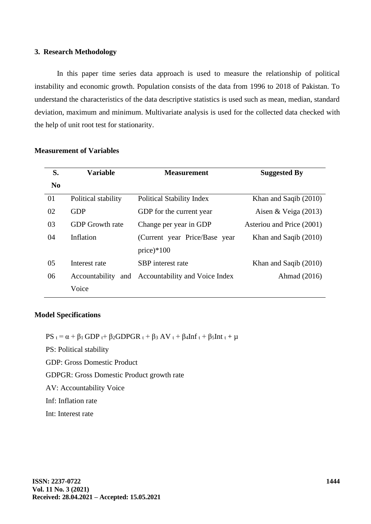#### **3. Research Methodology**

In this paper time series data approach is used to measure the relationship of political instability and economic growth. Population consists of the data from 1996 to 2018 of Pakistan. To understand the characteristics of the data descriptive statistics is used such as mean, median, standard deviation, maximum and minimum. Multivariate analysis is used for the collected data checked with the help of unit root test for stationarity.

| S.       | <b>Variable</b>        | <b>Measurement</b>               | <b>Suggested By</b>       |
|----------|------------------------|----------------------------------|---------------------------|
| $\bf No$ |                        |                                  |                           |
| 01       | Political stability    | <b>Political Stability Index</b> | Khan and Saqib (2010)     |
| 02       | <b>GDP</b>             | GDP for the current year         | Aisen & Veiga $(2013)$    |
| 03       | <b>GDP</b> Growth rate | Change per year in GDP           | Asteriou and Price (2001) |
| 04       | Inflation              | (Current year Price/Base year    | Khan and Saqib (2010)     |
|          |                        | price) $*100$                    |                           |
| 05       | Interest rate          | SBP interest rate                | Khan and Saqib (2010)     |
| 06       | Accountability and     | Accountability and Voice Index   | Ahmad (2016)              |
|          | Voice                  |                                  |                           |

## **Measurement of Variables**

#### **Model Specifications**

 $PS_t = \alpha + \beta_1 GDP_t + \beta_2 GDPGR_t + \beta_3 AV_t + \beta_4Inf_t + \beta_5Int_t + \mu$ 

PS: Political stability

GDP: Gross Domestic Product

GDPGR: Gross Domestic Product growth rate

AV: Accountability Voice

Inf: Inflation rate

Int: Interest rate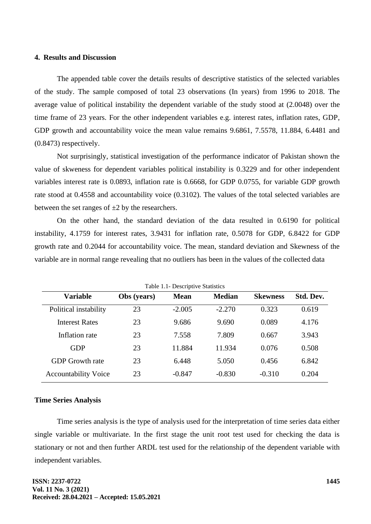#### **4. Results and Discussion**

The appended table cover the details results of descriptive statistics of the selected variables of the study. The sample composed of total 23 observations (In years) from 1996 to 2018. The average value of political instability the dependent variable of the study stood at (2.0048) over the time frame of 23 years. For the other independent variables e.g. interest rates, inflation rates, GDP, GDP growth and accountability voice the mean value remains 9.6861, 7.5578, 11.884, 6.4481 and (0.8473) respectively.

Not surprisingly, statistical investigation of the performance indicator of Pakistan shown the value of skweness for dependent variables political instability is 0.3229 and for other independent variables interest rate is 0.0893, inflation rate is 0.6668, for GDP 0.0755, for variable GDP growth rate stood at 0.4558 and accountability voice (0.3102). The values of the total selected variables are between the set ranges of  $\pm 2$  by the researchers.

On the other hand, the standard deviation of the data resulted in 0.6190 for political instability, 4.1759 for interest rates, 3.9431 for inflation rate, 0.5078 for GDP, 6.8422 for GDP growth rate and 0.2044 for accountability voice. The mean, standard deviation and Skewness of the variable are in normal range revealing that no outliers has been in the values of the collected data

| Table 1.1- Descriptive Statistics |             |             |               |                 |           |  |  |  |
|-----------------------------------|-------------|-------------|---------------|-----------------|-----------|--|--|--|
| <b>Variable</b>                   | Obs (years) | <b>Mean</b> | <b>Median</b> | <b>Skewness</b> | Std. Dev. |  |  |  |
| Political instability             | 23          | $-2.005$    | $-2.270$      | 0.323           | 0.619     |  |  |  |
| <b>Interest Rates</b>             | 23          | 9.686       | 9.690         | 0.089           | 4.176     |  |  |  |
| Inflation rate                    | 23          | 7.558       | 7.809         | 0.667           | 3.943     |  |  |  |
| <b>GDP</b>                        | 23          | 11.884      | 11.934        | 0.076           | 0.508     |  |  |  |
| <b>GDP</b> Growth rate            | 23          | 6.448       | 5.050         | 0.456           | 6.842     |  |  |  |
| <b>Accountability Voice</b>       | 23          | $-0.847$    | $-0.830$      | $-0.310$        | 0.204     |  |  |  |
|                                   |             |             |               |                 |           |  |  |  |

Table 1.1- Descriptive Statistics

#### **Time Series Analysis**

Time series analysis is the type of analysis used for the interpretation of time series data either single variable or multivariate. In the first stage the unit root test used for checking the data is stationary or not and then further ARDL test used for the relationship of the dependent variable with independent variables.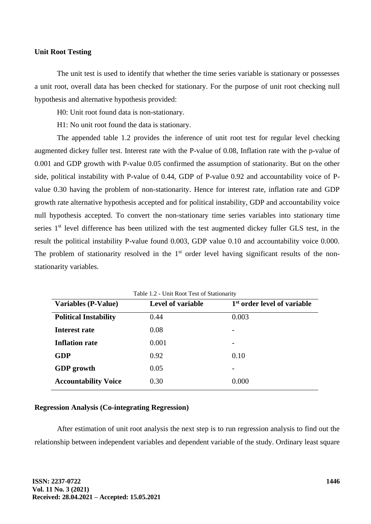#### **Unit Root Testing**

The unit test is used to identify that whether the time series variable is stationary or possesses a unit root, overall data has been checked for stationary. For the purpose of unit root checking null hypothesis and alternative hypothesis provided:

H0: Unit root found data is non-stationary.

H1: No unit root found the data is stationary.

The appended table 1.2 provides the inference of unit root test for regular level checking augmented dickey fuller test. Interest rate with the P-value of 0.08, Inflation rate with the p-value of 0.001 and GDP growth with P-value 0.05 confirmed the assumption of stationarity. But on the other side, political instability with P-value of 0.44, GDP of P-value 0.92 and accountability voice of Pvalue 0.30 having the problem of non-stationarity. Hence for interest rate, inflation rate and GDP growth rate alternative hypothesis accepted and for political instability, GDP and accountability voice null hypothesis accepted. To convert the non-stationary time series variables into stationary time series 1<sup>st</sup> level difference has been utilized with the test augmented dickey fuller GLS test, in the result the political instability P-value found 0.003, GDP value 0.10 and accountability voice 0.000. The problem of stationarity resolved in the  $1<sup>st</sup>$  order level having significant results of the nonstationarity variables.

| Table 1.2 - Unit Root Test of Stationarity |                          |                                         |  |  |  |  |
|--------------------------------------------|--------------------------|-----------------------------------------|--|--|--|--|
| <b>Variables (P-Value)</b>                 | <b>Level of variable</b> | 1 <sup>st</sup> order level of variable |  |  |  |  |
| <b>Political Instability</b>               | 0.44                     | 0.003                                   |  |  |  |  |
| Interest rate                              | 0.08                     |                                         |  |  |  |  |
| <b>Inflation rate</b>                      | 0.001                    |                                         |  |  |  |  |
| <b>GDP</b>                                 | 0.92                     | 0.10                                    |  |  |  |  |
| <b>GDP</b> growth                          | 0.05                     |                                         |  |  |  |  |
| <b>Accountability Voice</b>                | 0.30                     | 0.000                                   |  |  |  |  |

# **Regression Analysis (Co-integrating Regression)**

After estimation of unit root analysis the next step is to run regression analysis to find out the relationship between independent variables and dependent variable of the study. Ordinary least square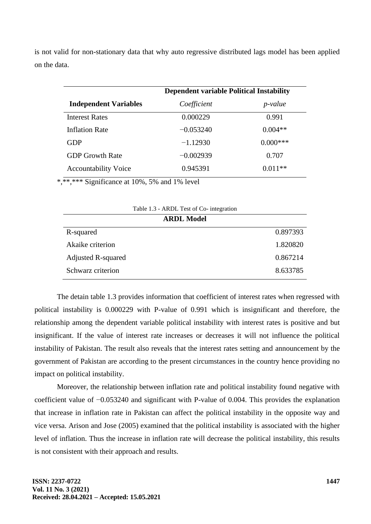is not valid for non-stationary data that why auto regressive distributed lags model has been applied on the data.

|                              | <b>Dependent variable Political Instability</b> |                 |  |
|------------------------------|-------------------------------------------------|-----------------|--|
| <b>Independent Variables</b> | Coefficient                                     | <i>p</i> -value |  |
| <b>Interest Rates</b>        | 0.000229                                        | 0.991           |  |
| <b>Inflation Rate</b>        | $-0.053240$                                     | $0.004**$       |  |
| <b>GDP</b>                   | $-1.12930$                                      | $0.000***$      |  |
| <b>GDP Growth Rate</b>       | $-0.002939$                                     | 0.707           |  |
| <b>Accountability Voice</b>  | 0.945391                                        | $0.011**$       |  |

\*,\*\*,\*\*\* Significance at 10%, 5% and 1% level

| Table 1.3 - ARDL Test of Co- integration |          |  |  |  |  |
|------------------------------------------|----------|--|--|--|--|
| <b>ARDL Model</b>                        |          |  |  |  |  |
| R-squared                                | 0.897393 |  |  |  |  |
| Akaike criterion                         | 1.820820 |  |  |  |  |
| Adjusted R-squared                       | 0.867214 |  |  |  |  |
| Schwarz criterion                        | 8.633785 |  |  |  |  |

The detain table 1.3 provides information that coefficient of interest rates when regressed with political instability is 0.000229 with P-value of 0.991 which is insignificant and therefore, the relationship among the dependent variable political instability with interest rates is positive and but insignificant. If the value of interest rate increases or decreases it will not influence the political instability of Pakistan. The result also reveals that the interest rates setting and announcement by the government of Pakistan are according to the present circumstances in the country hence providing no impact on political instability.

Moreover, the relationship between inflation rate and political instability found negative with coefficient value of −0.053240 and significant with P-value of 0.004. This provides the explanation that increase in inflation rate in Pakistan can affect the political instability in the opposite way and vice versa. Arison and Jose (2005) examined that the political instability is associated with the higher level of inflation. Thus the increase in inflation rate will decrease the political instability, this results is not consistent with their approach and results.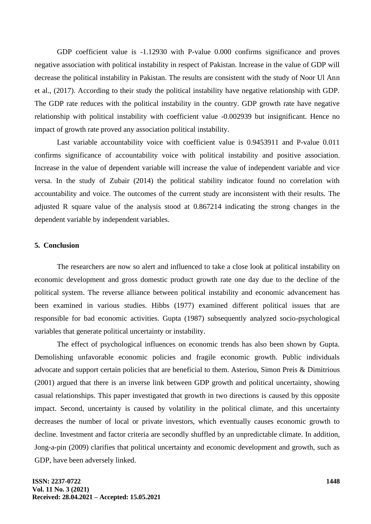GDP coefficient value is -1.12930 with P-value 0.000 confirms significance and proves negative association with political instability in respect of Pakistan. Increase in the value of GDP will decrease the political instability in Pakistan. The results are consistent with the study of Noor Ul Ann et al., (2017). According to their study the political instability have negative relationship with GDP. The GDP rate reduces with the political instability in the country. GDP growth rate have negative relationship with political instability with coefficient value -0.002939 but insignificant. Hence no impact of growth rate proved any association political instability.

Last variable accountability voice with coefficient value is 0.9453911 and P-value 0.011 confirms significance of accountability voice with political instability and positive association. Increase in the value of dependent variable will increase the value of independent variable and vice versa. In the study of Zubair (2014) the political stability indicator found no correlation with accountability and voice. The outcomes of the current study are inconsistent with their results. The adjusted R square value of the analysis stood at 0.867214 indicating the strong changes in the dependent variable by independent variables.

### **5. Conclusion**

The researchers are now so alert and influenced to take a close look at political instability on economic development and gross domestic product growth rate one day due to the decline of the political system. The reverse alliance between political instability and economic advancement has been examined in various studies. Hibbs (1977) examined different political issues that are responsible for bad economic activities. Gupta (1987) subsequently analyzed socio-psychological variables that generate political uncertainty or instability.

The effect of psychological influences on economic trends has also been shown by Gupta. Demolishing unfavorable economic policies and fragile economic growth. Public individuals advocate and support certain policies that are beneficial to them. Asteriou, Simon Preis & Dimitrious (2001) argued that there is an inverse link between GDP growth and political uncertainty, showing casual relationships. This paper investigated that growth in two directions is caused by this opposite impact. Second, uncertainty is caused by volatility in the political climate, and this uncertainty decreases the number of local or private investors, which eventually causes economic growth to decline. Investment and factor criteria are secondly shuffled by an unpredictable climate. In addition, Jong-a-pin (2009) clarifies that political uncertainty and economic development and growth, such as GDP, have been adversely linked.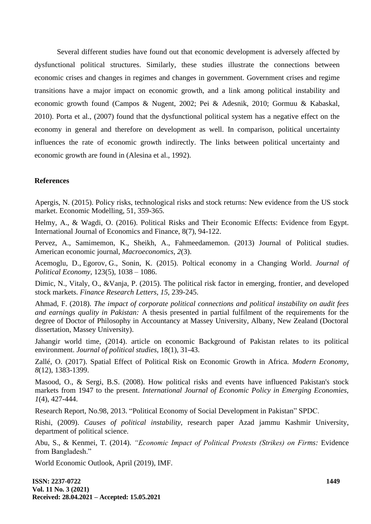Several different studies have found out that economic development is adversely affected by dysfunctional political structures. Similarly, these studies illustrate the connections between economic crises and changes in regimes and changes in government. Government crises and regime transitions have a major impact on economic growth, and a link among political instability and economic growth found (Campos & Nugent, 2002; Pei & Adesnik, 2010; Gormuu & Kabaskal, 2010). Porta et al., (2007) found that the dysfunctional political system has a negative effect on the economy in general and therefore on development as well. In comparison, political uncertainty influences the rate of economic growth indirectly. The links between political uncertainty and economic growth are found in (Alesina et al., 1992).

#### **References**

Apergis, N. (2015). Policy risks, technological risks and stock returns: New evidence from the US stock market. Economic Modelling, 51, 359-365.

Helmy, A., & Wagdi, O. (2016). Political Risks and Their Economic Effects: Evidence from Egypt. International Journal of Economics and Finance, 8(7), 94-122.

Pervez, A., Samimemon, K., Sheikh, A., Fahmeedamemon. (2013) Journal of Political studies. American economic journal, *Macroeconomics, 2*(3).

Acemoglu, D., Egorov, G., Sonin, K. (2015). Poltical economy in a Changing World. *Journal of Political Economy,* 123(5), 1038 – 1086.

Dimic, N., Vitaly, O., &Vanja, P. (2015). The political risk factor in emerging, frontier, and developed stock markets. *Finance Research Letters, 15,* 239-245.

Ahmad, F. (2018). *The impact of corporate political connections and political instability on audit fees and earnings quality in Pakistan:* A thesis presented in partial fulfilment of the requirements for the degree of Doctor of Philosophy in Accountancy at Massey University, Albany, New Zealand (Doctoral dissertation, Massey University).

Jahangir world time, (2014). article on economic Background of Pakistan relates to its political environment. *Journal of political studies,* 18(1), 31-43.

Zallé, O. (2017). Spatial Effect of Political Risk on Economic Growth in Africa. *Modern Economy, 8*(12), 1383-1399.

Masood, O., & Sergi, B.S. (2008). How political risks and events have influenced Pakistan's stock markets from 1947 to the present. *International Journal of Economic Policy in Emerging Economies, 1*(4), 427-444.

Research Report, No.98, 2013. "Political Economy of Social Development in Pakistan" SPDC.

Rishi, (2009). *Causes of political instability,* research paper Azad jammu Kashmir University, department of political science.

Abu, S., & Kenmei, T. (2014). *"Economic Impact of Political Protests (Strikes) on Firms:* Evidence from Bangladesh."

World Economic Outlook, April (2019), IMF.

**ISSN: 2237-0722 Vol. 11 No. 3 (2021) Received: 28.04.2021 – Accepted: 15.05.2021**